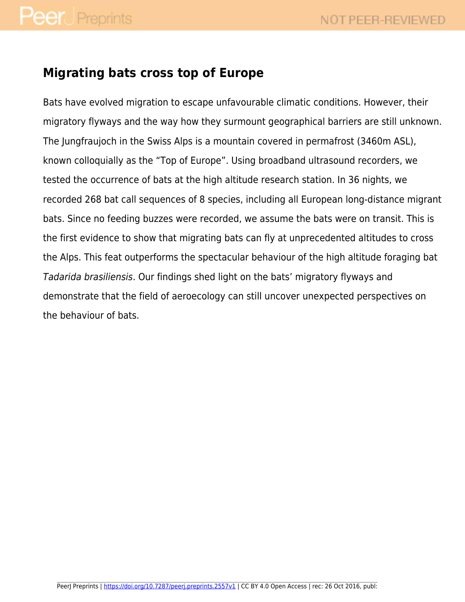### **Migrating bats cross top of Europe**

Bats have evolved migration to escape unfavourable climatic conditions. However, their migratory flyways and the way how they surmount geographical barriers are still unknown. The Jungfraujoch in the Swiss Alps is a mountain covered in permafrost (3460m ASL), known colloquially as the "Top of Europe". Using broadband ultrasound recorders, we tested the occurrence of bats at the high altitude research station. In 36 nights, we recorded 268 bat call sequences of 8 species, including all European long-distance migrant bats. Since no feeding buzzes were recorded, we assume the bats were on transit. This is the first evidence to show that migrating bats can fly at unprecedented altitudes to cross the Alps. This feat outperforms the spectacular behaviour of the high altitude foraging bat Tadarida brasiliensis. Our findings shed light on the bats' migratory flyways and demonstrate that the field of aeroecology can still uncover unexpected perspectives on the behaviour of bats.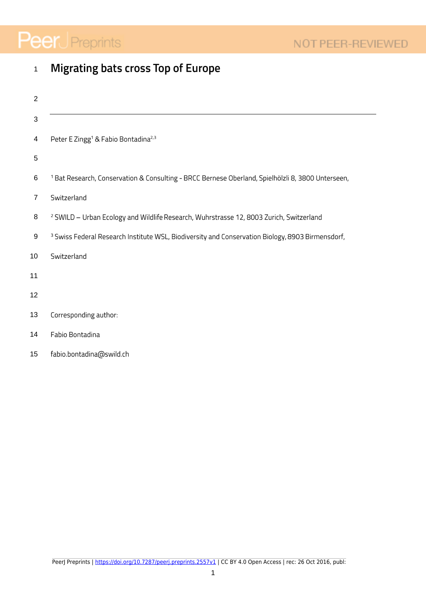# **Peer** Preprints

| $\mathbf{1}$   | <b>Migrating bats cross Top of Europe</b>                                                                    |
|----------------|--------------------------------------------------------------------------------------------------------------|
| $\overline{2}$ |                                                                                                              |
| $\sqrt{3}$     |                                                                                                              |
| 4              | Peter E Zingg <sup>1</sup> & Fabio Bontadina <sup>2,3</sup>                                                  |
| $\overline{5}$ |                                                                                                              |
| 6              | <sup>1</sup> Bat Research, Conservation & Consulting - BRCC Bernese Oberland, Spielhölzli 8, 3800 Unterseen, |
| $\overline{7}$ | Switzerland                                                                                                  |
| 8              | <sup>2</sup> SWILD - Urban Ecology and Wildlife Research, Wuhrstrasse 12, 8003 Zurich, Switzerland           |
| 9              | <sup>3</sup> Swiss Federal Research Institute WSL, Biodiversity and Conservation Biology, 8903 Birmensdorf,  |
| 10             | Switzerland                                                                                                  |
| 11             |                                                                                                              |
| 12             |                                                                                                              |
| 13             | Corresponding author:                                                                                        |
| 14             | Fabio Bontadina                                                                                              |

fabio.bontadina@swild.ch 15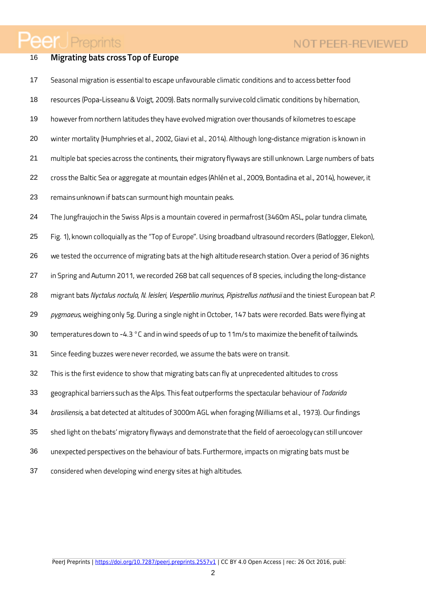## **Peer** Preprints

#### **Migrating bats cross Top of Europe** 16

- Seasonal migration is essential to escape unfavourable climatic conditions and to access better food 17
- 18 resources (Popa-Lisseanu & Voigt, 2009). Bats normally survive cold climatic conditions by hibernation,
- 19 however from northern latitudes they have evolved migration over thousands of kilometres to escape
- 20 winter mortality (Humphries et al., 2002, Giavi et al., 2014). Although long-distance migration is known in
- 21 multiple bat species across the continents, their migratory flyways are still unknown. Large numbers of bats
- 22 cross the Baltic Sea or aggregate at mountain edges (Ahlén et al., 2009, Bontadina et al., 2014), however, it
- 23 remains unknown if bats can surmount high mountain peaks.
- 24 The Jungfraujoch in the Swiss Alps is a mountain covered in permafrost (3460m ASL, polar tundra climate,
- Fig. 1), known colloquially as the "Top of Europe". Using broadband ultrasound recorders (Batlogger, Elekon), 25
- we tested the occurrence of migrating bats at the high altitude research station. Over a period of 36 nights 26
- 27 in Spring and Autumn 2011, we recorded 268 bat call sequences of 8 species, including the long-distance
- 28 migrant bats Nyctalus noctula, N. leisleri, Vespertilio murinus, Pipistrellus nathusii and the tiniest European bat P.
- 29 pygmaeus, weighing only 5g. During a single night in October, 147 bats were recorded. Bats were flying at
- 30 temperatures down to -4.3 °C and in wind speeds of up to 11m/s to maximize the benefit of tailwinds.
- 31 Since feeding buzzes were never recorded, we assume the bats were on transit.
- 32 This is the first evidence to show that migrating bats can fly at unprecedented altitudes to cross
- 33 geographical barriers such as the Alps. This feat outperforms the spectacular behaviour of Tadarida
- 34 brasiliensis, a bat detected at altitudes of 3000m AGL when foraging (Williams et al., 1973). Our findings
- 35 shed light on the bats' migratory flyways and demonstrate that the field of aeroecology can still uncover
- 36 unexpected perspectives on the behaviour of bats. Furthermore, impacts on migrating bats must be
- 37 considered when developing wind energy sites at high altitudes.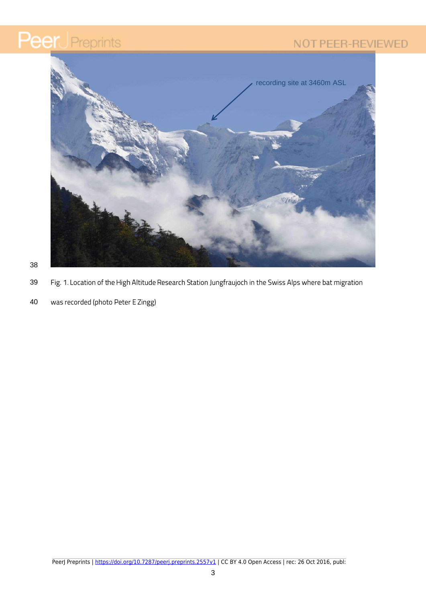### NOT PEER-REVIEWED





38

- Fig. 1. Location of the High Altitude Research Station Jungfraujoch in the Swiss Alps where bat migration 39
- 40 was recorded (photo Peter E Zingg)